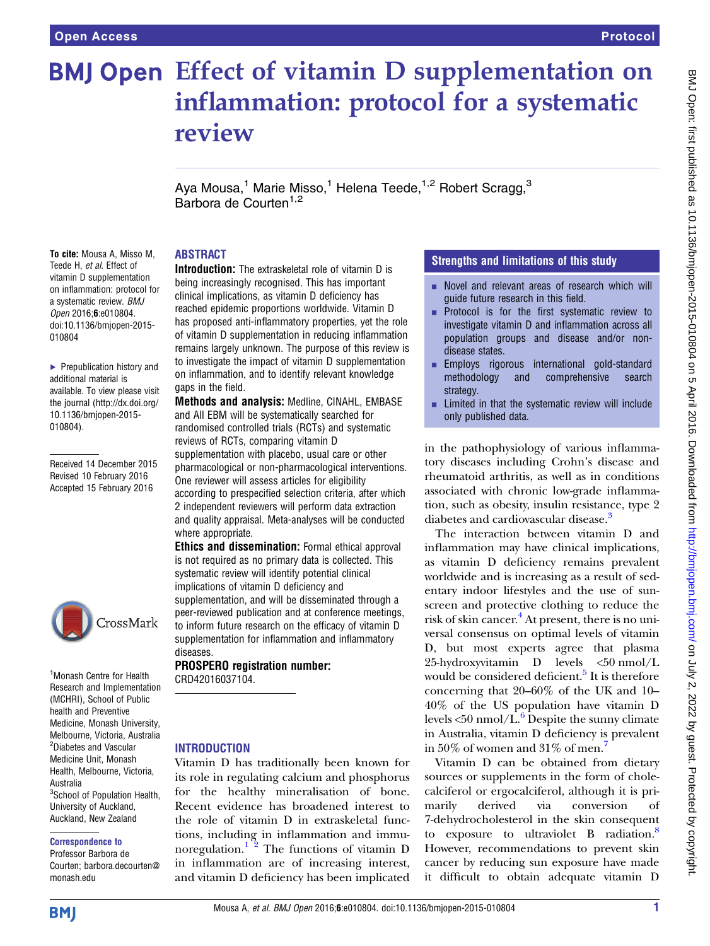# **BMJ Open Effect of vitamin D supplementation on** inflammation: protocol for a systematic review

Aya Mousa,<sup>1</sup> Marie Misso,<sup>1</sup> Helena Teede,<sup>1,2</sup> Robert Scragg,<sup>3</sup> Barbora de Courten<sup>1,2</sup>

# ABSTRACT

To cite: Mousa A, Misso M, Teede H, et al. Effect of vitamin D supplementation on inflammation: protocol for a systematic review. BMJ Open 2016;6:e010804. doi:10.1136/bmjopen-2015- 010804

▶ Prepublication history and additional material is available. To view please visit the journal [\(http://dx.doi.org/](http://dx.doi.org/10.1136/bmjopen-2015-010804) [10.1136/bmjopen-2015-](http://dx.doi.org/10.1136/bmjopen-2015-010804) [010804\)](http://dx.doi.org/10.1136/bmjopen-2015-010804).

Received 14 December 2015 Revised 10 February 2016 Accepted 15 February 2016



1 Monash Centre for Health Research and Implementation (MCHRI), School of Public health and Preventive Medicine, Monash University, Melbourne, Victoria, Australia 2 Diabetes and Vascular Medicine Unit, Monash Health, Melbourne, Victoria, Australia <sup>3</sup>School of Population Health, University of Auckland, Auckland, New Zealand

#### Correspondence to

Professor Barbora de Courten; barbora.decourten@ monash.edu

Introduction: The extraskeletal role of vitamin D is being increasingly recognised. This has important clinical implications, as vitamin D deficiency has reached epidemic proportions worldwide. Vitamin D has proposed anti-inflammatory properties, yet the role of vitamin D supplementation in reducing inflammation remains largely unknown. The purpose of this review is to investigate the impact of vitamin D supplementation on inflammation, and to identify relevant knowledge gaps in the field.

Methods and analysis: Medline, CINAHL, EMBASE and All EBM will be systematically searched for randomised controlled trials (RCTs) and systematic reviews of RCTs, comparing vitamin D supplementation with placebo, usual care or other pharmacological or non-pharmacological interventions. One reviewer will assess articles for eligibility according to prespecified selection criteria, after which 2 independent reviewers will perform data extraction and quality appraisal. Meta-analyses will be conducted where appropriate.

Ethics and dissemination: Formal ethical approval is not required as no primary data is collected. This systematic review will identify potential clinical implications of vitamin D deficiency and supplementation, and will be disseminated through a peer-reviewed publication and at conference meetings, to inform future research on the efficacy of vitamin D supplementation for inflammation and inflammatory diseases.

PROSPERO registration number: CRD42016037104.

# **INTRODUCTION**

Vitamin D has traditionally been known for its role in regulating calcium and phosphorus for the healthy mineralisation of bone. Recent evidence has broadened interest to the role of vitamin D in extraskeletal functions, including in inflammation and immunoregulation.<sup>1</sup> <sup>2</sup> The functions of vitamin D in inflammation are of increasing interest, and vitamin D deficiency has been implicated

# Strengths and limitations of this study

- $\blacksquare$  Novel and relevant areas of research which will guide future research in this field.
- **EXECUTE:** Protocol is for the first systematic review to investigate vitamin D and inflammation across all population groups and disease and/or nondisease states.
- **Employs rigorous international gold-standard** methodology and comprehensive search strategy.
- $\blacksquare$  Limited in that the systematic review will include only published data.

in the pathophysiology of various inflammatory diseases including Crohn's disease and rheumatoid arthritis, as well as in conditions associated with chronic low-grade inflammation, such as obesity, insulin resistance, type 2 diabetes and cardiovascular disease.<sup>3</sup>

The interaction between vitamin D and inflammation may have clinical implications, as vitamin D deficiency remains prevalent worldwide and is increasing as a result of sedentary indoor lifestyles and the use of sunscreen and protective clothing to reduce the risk of skin cancer.<sup>[4](#page-4-0)</sup> At present, there is no universal consensus on optimal levels of vitamin D, but most experts agree that plasma 25-hydroxyvitamin D levels <50 nmol/L would be considered deficient.<sup>[5](#page-4-0)</sup> It is therefore concerning that 20–60% of the UK and 10– 40% of the US population have vitamin D levels  $\langle 50 \text{ nmol/L}$ .<sup>[6](#page-4-0)</sup> Despite the sunny climate in Australia, vitamin D deficiency is prevalent in 50% of women and 31% of men.<sup>[7](#page-4-0)</sup>

Vitamin D can be obtained from dietary sources or supplements in the form of cholecalciferol or ergocalciferol, although it is primarily derived via conversion of 7-dehydrocholesterol in the skin consequent to exposure to ultraviolet B radiation.<sup>[8](#page-4-0)</sup> However, recommendations to prevent skin cancer by reducing sun exposure have made it difficult to obtain adequate vitamin D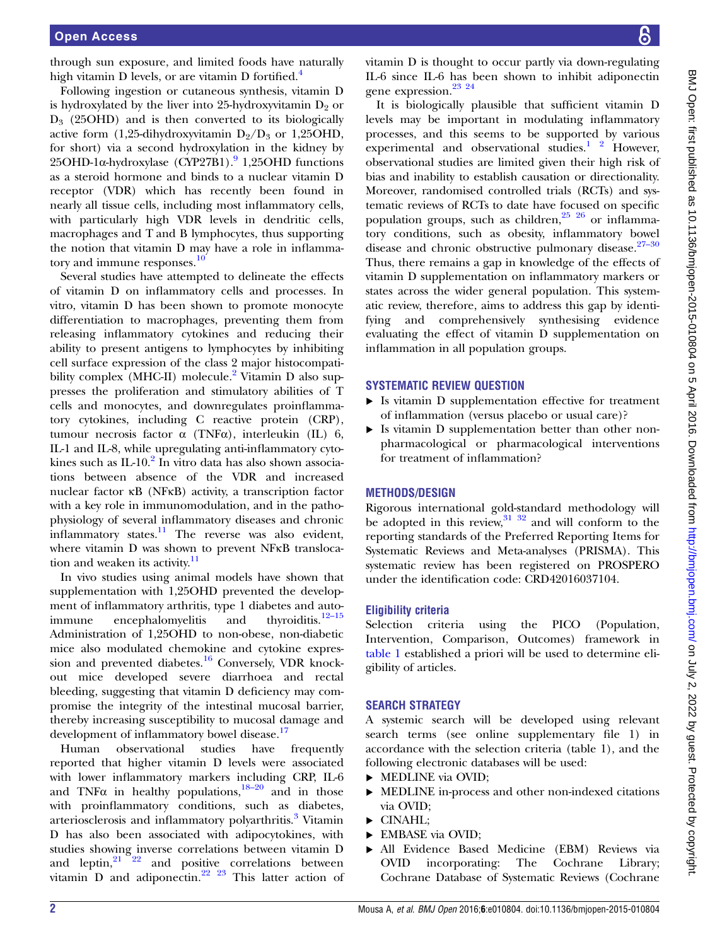through sun exposure, and limited foods have naturally high vitamin D levels, or are vitamin D fortified.<sup>4</sup>

Following ingestion or cutaneous synthesis, vitamin D is hydroxylated by the liver into 25-hydroxyvitamin  $D_2$  or  $D_3$  (25OHD) and is then converted to its biologically active form (1,25-dihydroxyvitamin  $D_2/D_3$  or 1,25OHD, for short) via a second hydroxylation in the kidney by  $25OHD-1\alpha$ -hydroxylase (CYP27B1).<sup>[9](#page-4-0)</sup> 1,25OHD functions as a steroid hormone and binds to a nuclear vitamin D receptor (VDR) which has recently been found in nearly all tissue cells, including most inflammatory cells, with particularly high VDR levels in dendritic cells, macrophages and T and B lymphocytes, thus supporting the notion that vitamin D may have a role in inflamma-tory and immune responses.<sup>[10](#page-4-0)</sup>

Several studies have attempted to delineate the effects of vitamin D on inflammatory cells and processes. In vitro, vitamin D has been shown to promote monocyte differentiation to macrophages, preventing them from releasing inflammatory cytokines and reducing their ability to present antigens to lymphocytes by inhibiting cell surface expression of the class 2 major histocompati-bility complex (MHC-II) molecule.<sup>[2](#page-4-0)</sup> Vitamin D also suppresses the proliferation and stimulatory abilities of T cells and monocytes, and downregulates proinflammatory cytokines, including C reactive protein (CRP), tumour necrosis factor α (TNFα), interleukin (IL) 6, IL-1 and IL-8, while upregulating anti-inflammatory cytokines such as  $IL-10<sup>2</sup>$  In vitro data has also shown associations between absence of the VDR and increased nuclear factor κB (NFκB) activity, a transcription factor with a key role in immunomodulation, and in the pathophysiology of several inflammatory diseases and chronic inflammatory states. $\frac{11}{1}$  $\frac{11}{1}$  $\frac{11}{1}$  The reverse was also evident, where vitamin D was shown to prevent NFKB translocation and weaken its activity. $11$ 

In vivo studies using animal models have shown that supplementation with 1,25OHD prevented the development of inflammatory arthritis, type 1 diabetes and auto-immune encephalomyelitis and thyroiditis.<sup>[12](#page-4-0)–15</sup> Administration of 1,25OHD to non-obese, non-diabetic mice also modulated chemokine and cytokine expres-sion and prevented diabetes.<sup>[16](#page-4-0)</sup> Conversely, VDR knockout mice developed severe diarrhoea and rectal bleeding, suggesting that vitamin D deficiency may compromise the integrity of the intestinal mucosal barrier, thereby increasing susceptibility to mucosal damage and development of inflammatory bowel disease.<sup>[17](#page-4-0)</sup>

Human observational studies have frequently reported that higher vitamin D levels were associated with lower inflammatory markers including CRP, IL-6 and TNF $\alpha$  in healthy populations,  $18-20$  $18-20$  and in those with proinflammatory conditions, such as diabetes, arteriosclerosis and inflammatory polyarthritis.<sup>[3](#page-4-0)</sup> Vitamin D has also been associated with adipocytokines, with studies showing inverse correlations between vitamin D and  $leptin, ^{21}$   $22$  and positive correlations between vitamin D and adiponectin. $^{22}$   $^{23}$  This latter action of

vitamin D is thought to occur partly via down-regulating IL-6 since IL-6 has been shown to inhibit adiponectin gene expression.[23 24](#page-4-0)

It is biologically plausible that sufficient vitamin D levels may be important in modulating inflammatory processes, and this seems to be supported by various experimental and observational studies. $1^2$  However, observational studies are limited given their high risk of bias and inability to establish causation or directionality. Moreover, randomised controlled trials (RCTs) and systematic reviews of RCTs to date have focused on specific population groups, such as children,  $25\frac{26}{10}$  or inflammatory conditions, such as obesity, inflammatory bowel disease and chronic obstructive pulmonary disease.<sup>[27](#page-4-0)-30</sup> Thus, there remains a gap in knowledge of the effects of vitamin D supplementation on inflammatory markers or states across the wider general population. This systematic review, therefore, aims to address this gap by identifying and comprehensively synthesising evidence evaluating the effect of vitamin D supplementation on inflammation in all population groups.

## SYSTEMATIC REVIEW QUESTION

- ▸ Is vitamin D supplementation effective for treatment of inflammation (versus placebo or usual care)?
- ▸ Is vitamin D supplementation better than other nonpharmacological or pharmacological interventions for treatment of inflammation?

## METHODS/DESIGN

Rigorous international gold-standard methodology will be adopted in this review, $31 \frac{32}{2}$  and will conform to the reporting standards of the Preferred Reporting Items for Systematic Reviews and Meta-analyses (PRISMA). This systematic review has been registered on PROSPERO under the identification code: CRD42016037104.

#### Eligibility criteria

Selection criteria using the PICO (Population, Intervention, Comparison, Outcomes) framework in [table 1](#page-2-0) established a priori will be used to determine eligibility of articles.

## SEARCH STRATEGY

A systemic search will be developed using relevant search terms (see online supplementary file 1) in accordance with the selection criteria (table 1), and the following electronic databases will be used:

- ▸ MEDLINE via OVID;
- ▸ MEDLINE in-process and other non-indexed citations via OVID;
- ▸ CINAHL;
- ▸ EMBASE via OVID;
- ▸ All Evidence Based Medicine (EBM) Reviews via OVID incorporating: The Cochrane Library; Cochrane Database of Systematic Reviews (Cochrane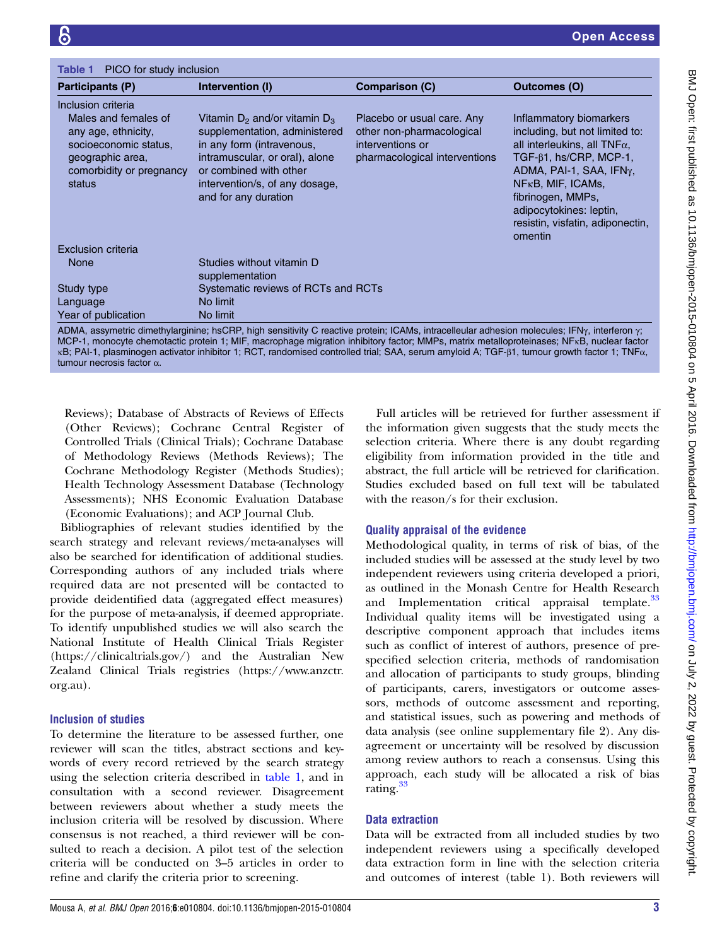<span id="page-2-0"></span>

| PICO for study inclusion<br>Table 1                                                                                                                  |                                                                                                                                                                                                                        |                                                                                                              |                                                                                                                                                                                                                                                                                     |
|------------------------------------------------------------------------------------------------------------------------------------------------------|------------------------------------------------------------------------------------------------------------------------------------------------------------------------------------------------------------------------|--------------------------------------------------------------------------------------------------------------|-------------------------------------------------------------------------------------------------------------------------------------------------------------------------------------------------------------------------------------------------------------------------------------|
| Participants (P)                                                                                                                                     | Intervention (I)                                                                                                                                                                                                       | <b>Comparison (C)</b>                                                                                        | Outcomes (O)                                                                                                                                                                                                                                                                        |
| Inclusion criteria<br>Males and females of<br>any age, ethnicity,<br>socioeconomic status,<br>geographic area,<br>comorbidity or pregnancy<br>status | Vitamin $D_2$ and/or vitamin $D_3$<br>supplementation, administered<br>in any form (intravenous,<br>intramuscular, or oral), alone<br>or combined with other<br>intervention/s, of any dosage,<br>and for any duration | Placebo or usual care. Any<br>other non-pharmacological<br>interventions or<br>pharmacological interventions | Inflammatory biomarkers<br>including, but not limited to:<br>all interleukins, all TNF $\alpha$ ,<br>$TGF-\beta1, hs/CRP, MCP-1,$<br>ADMA, PAI-1, SAA, IFNy,<br>$NFKB$ , MIF, ICAMs,<br>fibrinogen, MMPs,<br>adipocytokines: leptin,<br>resistin, visfatin, adiponectin,<br>omentin |
| Exclusion criteria                                                                                                                                   |                                                                                                                                                                                                                        |                                                                                                              |                                                                                                                                                                                                                                                                                     |
| None                                                                                                                                                 | Studies without vitamin D<br>supplementation                                                                                                                                                                           |                                                                                                              |                                                                                                                                                                                                                                                                                     |
| Study type                                                                                                                                           | Systematic reviews of RCTs and RCTs                                                                                                                                                                                    |                                                                                                              |                                                                                                                                                                                                                                                                                     |
| Language                                                                                                                                             | No limit                                                                                                                                                                                                               |                                                                                                              |                                                                                                                                                                                                                                                                                     |
| Year of publication                                                                                                                                  | No limit                                                                                                                                                                                                               |                                                                                                              |                                                                                                                                                                                                                                                                                     |

ADMA, assymetric dimethylarginine; hsCRP, high sensitivity C reactive protein; ICAMs, intracelleular adhesion molecules; IFN $_\gamma$ , interferon  $\gamma$ ; MCP-1, monocyte chemotactic protein 1; MIF, macrophage migration inhibitory factor; MMPs, matrix metalloproteinases; NFκB, nuclear factor κB; PAI-1, plasminogen activator inhibitor 1; RCT, randomised controlled trial; SAA, serum amyloid A; TGF-β1, tumour growth factor 1; TNFα, tumour necrosis factor α.

Reviews); Database of Abstracts of Reviews of Effects (Other Reviews); Cochrane Central Register of Controlled Trials (Clinical Trials); Cochrane Database of Methodology Reviews (Methods Reviews); The Cochrane Methodology Register (Methods Studies); Health Technology Assessment Database (Technology Assessments); NHS Economic Evaluation Database (Economic Evaluations); and ACP Journal Club.

Bibliographies of relevant studies identified by the search strategy and relevant reviews/meta-analyses will also be searched for identification of additional studies. Corresponding authors of any included trials where required data are not presented will be contacted to provide deidentified data (aggregated effect measures) for the purpose of meta-analysis, if deemed appropriate. To identify unpublished studies we will also search the National Institute of Health Clinical Trials Register [\(https://clinicaltrials.gov/](https://clinicaltrials.gov/)) and the Australian New Zealand Clinical Trials registries ([https://www.anzctr.](https://www.anzctr.org.au) [org.au](https://www.anzctr.org.au)).

# Inclusion of studies

To determine the literature to be assessed further, one reviewer will scan the titles, abstract sections and keywords of every record retrieved by the search strategy using the selection criteria described in table 1, and in consultation with a second reviewer. Disagreement between reviewers about whether a study meets the inclusion criteria will be resolved by discussion. Where consensus is not reached, a third reviewer will be consulted to reach a decision. A pilot test of the selection criteria will be conducted on 3–5 articles in order to refine and clarify the criteria prior to screening.

Full articles will be retrieved for further assessment if the information given suggests that the study meets the selection criteria. Where there is any doubt regarding eligibility from information provided in the title and abstract, the full article will be retrieved for clarification. Studies excluded based on full text will be tabulated with the reason/s for their exclusion.

# Quality appraisal of the evidence

Methodological quality, in terms of risk of bias, of the included studies will be assessed at the study level by two independent reviewers using criteria developed a priori, as outlined in the Monash Centre for Health Research and Implementation critical appraisal template.<sup>[33](#page-4-0)</sup> Individual quality items will be investigated using a descriptive component approach that includes items such as conflict of interest of authors, presence of prespecified selection criteria, methods of randomisation and allocation of participants to study groups, blinding of participants, carers, investigators or outcome assessors, methods of outcome assessment and reporting, and statistical issues, such as powering and methods of data analysis (see online supplementary file 2). Any disagreement or uncertainty will be resolved by discussion among review authors to reach a consensus. Using this approach, each study will be allocated a risk of bias rating. $33$ 

# Data extraction

Data will be extracted from all included studies by two independent reviewers using a specifically developed data extraction form in line with the selection criteria and outcomes of interest (table 1). Both reviewers will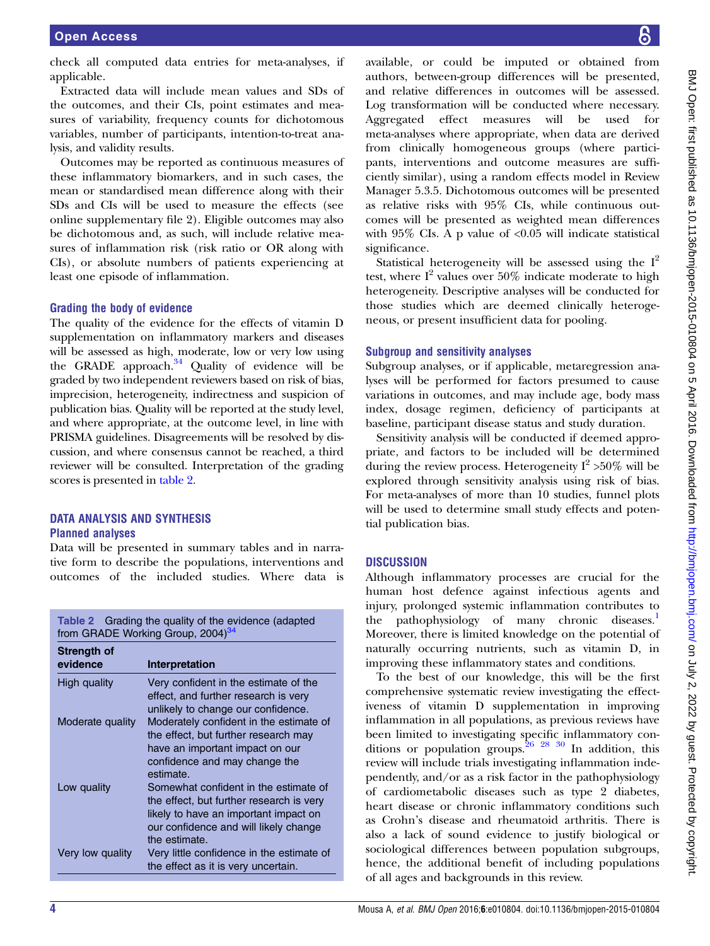check all computed data entries for meta-analyses, if applicable.

Extracted data will include mean values and SDs of the outcomes, and their CIs, point estimates and measures of variability, frequency counts for dichotomous variables, number of participants, intention-to-treat analysis, and validity results.

Outcomes may be reported as continuous measures of these inflammatory biomarkers, and in such cases, the mean or standardised mean difference along with their SDs and CIs will be used to measure the effects (see online supplementary file 2). Eligible outcomes may also be dichotomous and, as such, will include relative measures of inflammation risk (risk ratio or OR along with CIs), or absolute numbers of patients experiencing at least one episode of inflammation.

## Grading the body of evidence

The quality of the evidence for the effects of vitamin D supplementation on inflammatory markers and diseases will be assessed as high, moderate, low or very low using the GRADE approach.<sup>[34](#page-4-0)</sup> Quality of evidence will be graded by two independent reviewers based on risk of bias, imprecision, heterogeneity, indirectness and suspicion of publication bias. Quality will be reported at the study level, and where appropriate, at the outcome level, in line with PRISMA guidelines. Disagreements will be resolved by discussion, and where consensus cannot be reached, a third reviewer will be consulted. Interpretation of the grading scores is presented in table 2.

## DATA ANALYSIS AND SYNTHESIS Planned analyses

Data will be presented in summary tables and in narrative form to describe the populations, interventions and outcomes of the included studies. Where data is

| <b>Table 2</b> Grading the quality of the evidence (adapted<br>from GRADE Working Group, 2004) <sup>34</sup> |                                                                                                                                                                                      |  |  |
|--------------------------------------------------------------------------------------------------------------|--------------------------------------------------------------------------------------------------------------------------------------------------------------------------------------|--|--|
| Strength of                                                                                                  |                                                                                                                                                                                      |  |  |
| evidence                                                                                                     | Interpretation                                                                                                                                                                       |  |  |
| High quality                                                                                                 | Very confident in the estimate of the<br>effect, and further research is very<br>unlikely to change our confidence.                                                                  |  |  |
| Moderate quality                                                                                             | Moderately confident in the estimate of<br>the effect, but further research may<br>have an important impact on our<br>confidence and may change the<br>estimate.                     |  |  |
| Low quality                                                                                                  | Somewhat confident in the estimate of<br>the effect, but further research is very<br>likely to have an important impact on<br>our confidence and will likely change<br>the estimate. |  |  |
| Very low quality                                                                                             | Very little confidence in the estimate of<br>the effect as it is very uncertain.                                                                                                     |  |  |

available, or could be imputed or obtained from authors, between-group differences will be presented, and relative differences in outcomes will be assessed. Log transformation will be conducted where necessary. Aggregated effect measures will be used for meta-analyses where appropriate, when data are derived from clinically homogeneous groups (where participants, interventions and outcome measures are sufficiently similar), using a random effects model in Review Manager 5.3.5. Dichotomous outcomes will be presented as relative risks with 95% CIs, while continuous outcomes will be presented as weighted mean differences with  $95\%$  CIs. A p value of <0.05 will indicate statistical significance.

Statistical heterogeneity will be assessed using the  $I^2$ test, where  $I^2$  values over 50% indicate moderate to high heterogeneity. Descriptive analyses will be conducted for those studies which are deemed clinically heterogeneous, or present insufficient data for pooling.

#### Subgroup and sensitivity analyses

Subgroup analyses, or if applicable, metaregression analyses will be performed for factors presumed to cause variations in outcomes, and may include age, body mass index, dosage regimen, deficiency of participants at baseline, participant disease status and study duration.

Sensitivity analysis will be conducted if deemed appropriate, and factors to be included will be determined during the review process. Heterogeneity  $I^2 > 50\%$  will be explored through sensitivity analysis using risk of bias. For meta-analyses of more than 10 studies, funnel plots will be used to determine small study effects and potential publication bias.

## **DISCUSSION**

Although inflammatory processes are crucial for the human host defence against infectious agents and injury, prolonged systemic inflammation contributes to the pathophysiology of many chronic diseases.<sup>[1](#page-4-0)</sup> Moreover, there is limited knowledge on the potential of naturally occurring nutrients, such as vitamin D, in improving these inflammatory states and conditions.

To the best of our knowledge, this will be the first comprehensive systematic review investigating the effectiveness of vitamin D supplementation in improving inflammation in all populations, as previous reviews have been limited to investigating specific inflammatory conditions or population groups.  $26^{28}$   $30^{8}$  In addition, this review will include trials investigating inflammation independently, and/or as a risk factor in the pathophysiology of cardiometabolic diseases such as type 2 diabetes, heart disease or chronic inflammatory conditions such as Crohn's disease and rheumatoid arthritis. There is also a lack of sound evidence to justify biological or sociological differences between population subgroups, hence, the additional benefit of including populations of all ages and backgrounds in this review.